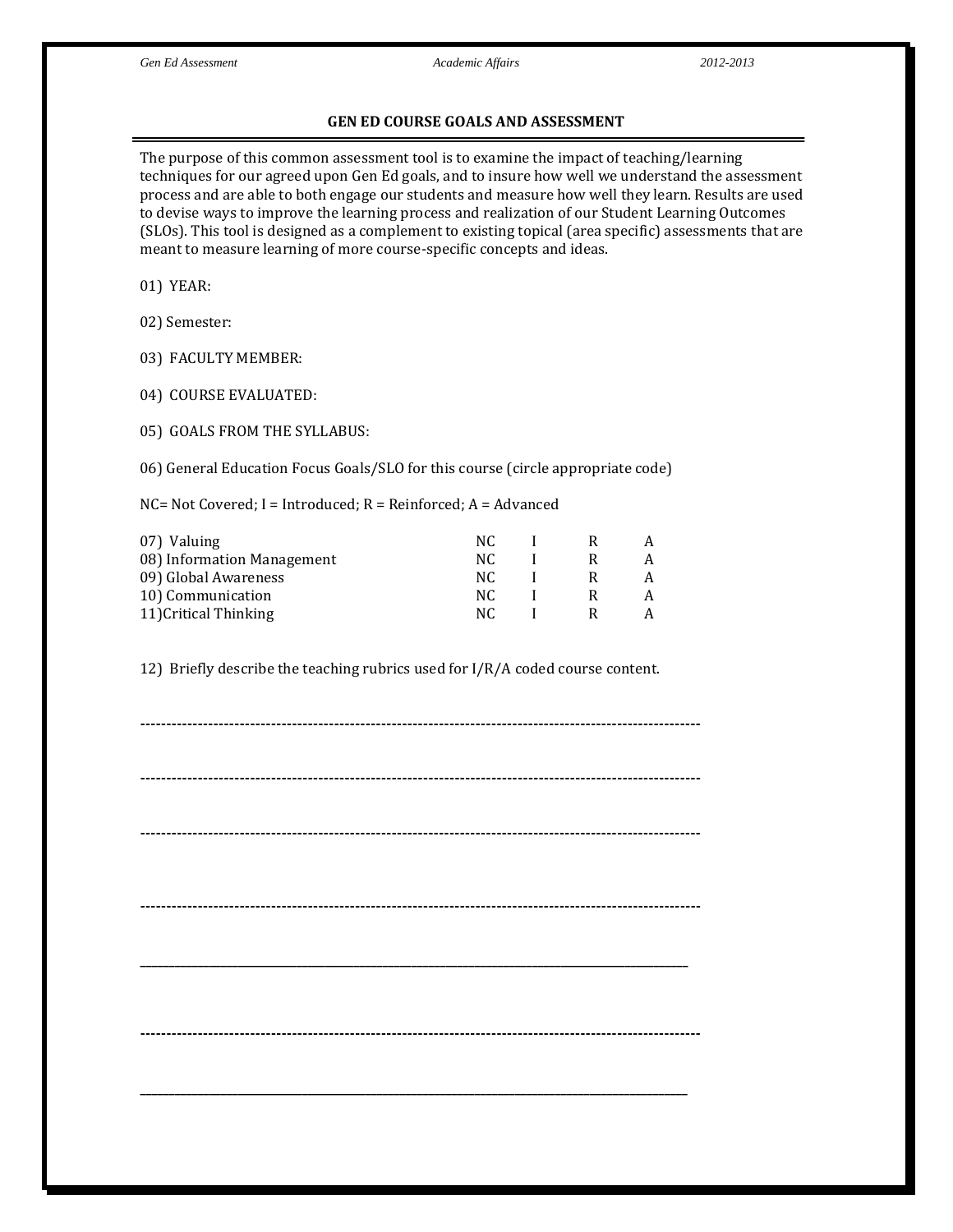## **GEN ED COURSE GOALS AND ASSESSMENT**

The purpose of this common assessment tool is to examine the impact of teaching/learning techniques for our agreed upon Gen Ed goals, and to insure how well we understand the assessment process and are able to both engage our students and measure how well they learn. Results are used to devise ways to improve the learning process and realization of our Student Learning Outcomes (SLOs). This tool is designed as a complement to existing topical (area specific) assessments that are meant to measure learning of more course-specific concepts and ideas.

01) YEAR:

02) Semester:

03) FACULTY MEMBER:

04) COURSE EVALUATED:

05) GOALS FROM THE SYLLABUS:

06) General Education Focus Goals/SLO for this course (circle appropriate code)

NC= Not Covered; I = Introduced; R = Reinforced; A = Advanced

| 07) Valuing                | NC. |  |  |
|----------------------------|-----|--|--|
| 08) Information Management | NC. |  |  |
| 09) Global Awareness       | NC. |  |  |
| 10) Communication          | NC. |  |  |
| 11) Critical Thinking      | NC. |  |  |

12) Briefly describe the teaching rubrics used for I/R/A coded course content.

**----------------------------------------------------------------------------------------------------------- ----------------------------------------------------------------------------------------------------------- ----------------------------------------------------------------------------------------------------------- ----------------------------------------------------------------------------------------------------------- \_\_\_\_\_\_\_\_\_\_\_\_\_\_\_\_\_\_\_\_\_\_\_\_\_\_\_\_\_\_\_\_\_\_\_\_\_\_\_\_\_\_\_\_\_\_\_\_\_\_\_\_\_\_\_\_\_\_\_\_\_\_\_\_\_\_\_\_\_\_\_\_\_\_\_\_\_\_\_\_\_\_\_\_\_\_\_\_\_\_\_\_\_\_\_ ----------------------------------------------------------------------------------------------------------- \_\_\_\_\_\_\_\_\_\_\_\_\_\_\_\_\_\_\_\_\_\_\_\_\_\_\_\_\_\_\_\_\_\_\_\_\_\_\_\_\_\_\_\_\_\_\_\_\_\_\_\_\_\_\_\_\_\_\_\_\_\_\_\_\_\_\_\_\_\_\_\_\_\_\_\_\_\_\_\_\_\_\_\_\_\_\_\_\_\_\_\_\_\_\_**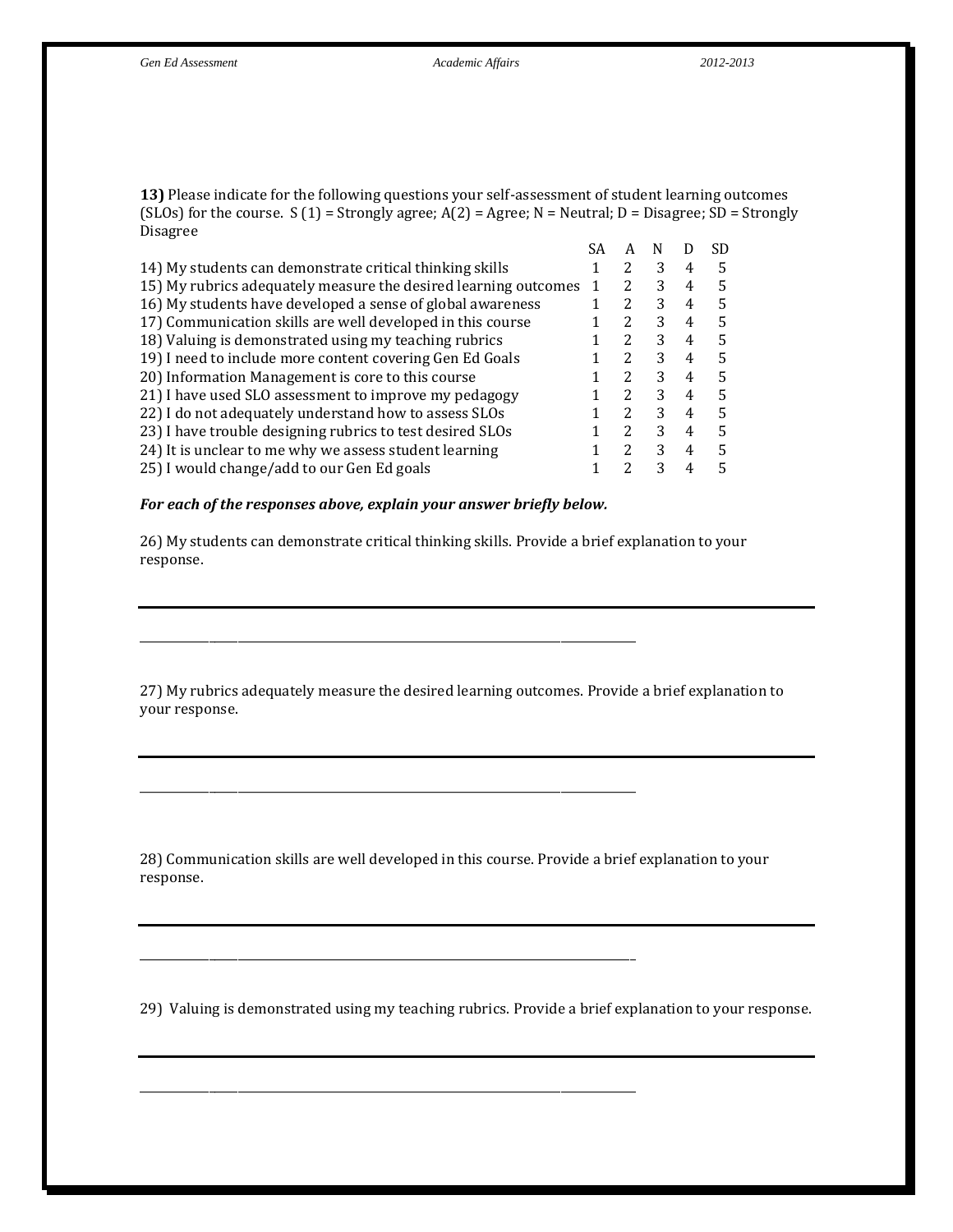**13)** Please indicate for the following questions your self-assessment of student learning outcomes (SLOs) for the course.  $S(1)$  = Strongly agree;  $A(2)$  = Agree; N = Neutral; D = Disagree; SD = Strongly Disagree

| SA | А             |   |   | SD |
|----|---------------|---|---|----|
|    | 2             | 3 | 4 | 5  |
|    |               | 3 | 4 | 5  |
|    |               | 3 | 4 | 5  |
|    | 2             | 3 | 4 | 5  |
|    | 2             | 3 | 4 | 5  |
|    |               | 3 | 4 | 5  |
|    | $\mathcal{L}$ | 3 | 4 | 5  |
|    | 2             | 3 | 4 | 5  |
|    | $\mathcal{P}$ | 3 | 4 | 5  |
|    | 2             | 3 | 4 | 5  |
|    | 2             | 3 | 4 | 5  |
|    |               | 3 | 4 | 5  |
|    |               |   |   |    |

## *For each of the responses above, explain your answer briefly below.*

\_\_\_\_\_\_\_\_\_\_\_\_\_\_\_\_\_\_\_\_\_\_\_\_\_\_\_\_\_\_\_\_\_\_\_\_\_\_\_\_\_\_\_\_\_\_\_\_\_\_\_\_\_\_\_\_\_\_\_\_\_\_\_\_\_\_\_\_\_\_\_\_\_\_\_\_\_\_\_\_\_\_\_\_\_\_

\_\_\_\_\_\_\_\_\_\_\_\_\_\_\_\_\_\_\_\_\_\_\_\_\_\_\_\_\_\_\_\_\_\_\_\_\_\_\_\_\_\_\_\_\_\_\_\_\_\_\_\_\_\_\_\_\_\_\_\_\_\_\_\_\_\_\_\_\_\_\_\_\_\_\_\_\_\_\_\_\_\_\_\_\_\_

\_\_\_\_\_\_\_\_\_\_\_\_\_\_\_\_\_\_\_\_\_\_\_\_\_\_\_\_\_\_\_\_\_\_\_\_\_\_\_\_\_\_\_\_\_\_\_\_\_\_\_\_\_\_\_\_\_\_\_\_\_\_\_\_\_\_\_\_\_\_\_\_\_\_\_\_\_\_\_\_\_\_\_\_\_\_

\_\_\_\_\_\_\_\_\_\_\_\_\_\_\_\_\_\_\_\_\_\_\_\_\_\_\_\_\_\_\_\_\_\_\_\_\_\_\_\_\_\_\_\_\_\_\_\_\_\_\_\_\_\_\_\_\_\_\_\_\_\_\_\_\_\_\_\_\_\_\_\_\_\_\_\_\_\_\_\_\_\_\_\_\_\_

26) My students can demonstrate critical thinking skills. Provide a brief explanation to your response.

27) My rubrics adequately measure the desired learning outcomes. Provide a brief explanation to your response.

28) Communication skills are well developed in this course. Provide a brief explanation to your response.

29) Valuing is demonstrated using my teaching rubrics. Provide a brief explanation to your response.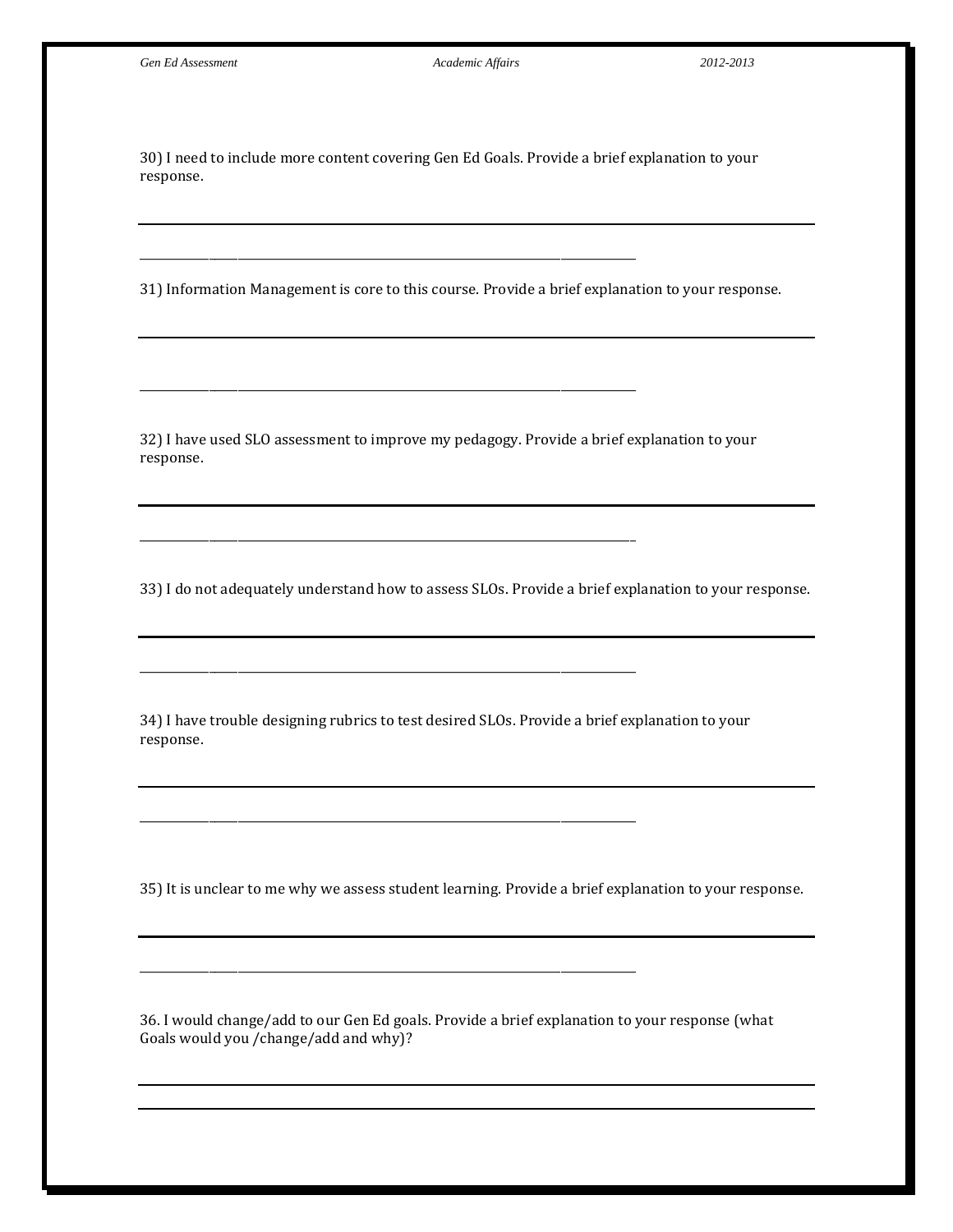30) I need to include more content covering Gen Ed Goals. Provide a brief explanation to your response.

\_\_\_\_\_\_\_\_\_\_\_\_\_\_\_\_\_\_\_\_\_\_\_\_\_\_\_\_\_\_\_\_\_\_\_\_\_\_\_\_\_\_\_\_\_\_\_\_\_\_\_\_\_\_\_\_\_\_\_\_\_\_\_\_\_\_\_\_\_\_\_\_\_\_\_\_\_\_\_\_\_\_\_\_\_\_

\_\_\_\_\_\_\_\_\_\_\_\_\_\_\_\_\_\_\_\_\_\_\_\_\_\_\_\_\_\_\_\_\_\_\_\_\_\_\_\_\_\_\_\_\_\_\_\_\_\_\_\_\_\_\_\_\_\_\_\_\_\_\_\_\_\_\_\_\_\_\_\_\_\_\_\_\_\_\_\_\_\_\_\_\_\_

\_\_\_\_\_\_\_\_\_\_\_\_\_\_\_\_\_\_\_\_\_\_\_\_\_\_\_\_\_\_\_\_\_\_\_\_\_\_\_\_\_\_\_\_\_\_\_\_\_\_\_\_\_\_\_\_\_\_\_\_\_\_\_\_\_\_\_\_\_\_\_\_\_\_\_\_\_\_\_\_\_\_\_\_\_\_

\_\_\_\_\_\_\_\_\_\_\_\_\_\_\_\_\_\_\_\_\_\_\_\_\_\_\_\_\_\_\_\_\_\_\_\_\_\_\_\_\_\_\_\_\_\_\_\_\_\_\_\_\_\_\_\_\_\_\_\_\_\_\_\_\_\_\_\_\_\_\_\_\_\_\_\_\_\_\_\_\_\_\_\_\_\_

\_\_\_\_\_\_\_\_\_\_\_\_\_\_\_\_\_\_\_\_\_\_\_\_\_\_\_\_\_\_\_\_\_\_\_\_\_\_\_\_\_\_\_\_\_\_\_\_\_\_\_\_\_\_\_\_\_\_\_\_\_\_\_\_\_\_\_\_\_\_\_\_\_\_\_\_\_\_\_\_\_\_\_\_\_\_

\_\_\_\_\_\_\_\_\_\_\_\_\_\_\_\_\_\_\_\_\_\_\_\_\_\_\_\_\_\_\_\_\_\_\_\_\_\_\_\_\_\_\_\_\_\_\_\_\_\_\_\_\_\_\_\_\_\_\_\_\_\_\_\_\_\_\_\_\_\_\_\_\_\_\_\_\_\_\_\_\_\_\_\_\_\_

31) Information Management is core to this course. Provide a brief explanation to your response.

32) I have used SLO assessment to improve my pedagogy. Provide a brief explanation to your response.

33) I do not adequately understand how to assess SLOs. Provide a brief explanation to your response.

34) I have trouble designing rubrics to test desired SLOs. Provide a brief explanation to your response.

35) It is unclear to me why we assess student learning. Provide a brief explanation to your response.

36. I would change/add to our Gen Ed goals. Provide a brief explanation to your response (what Goals would you /change/add and why)?